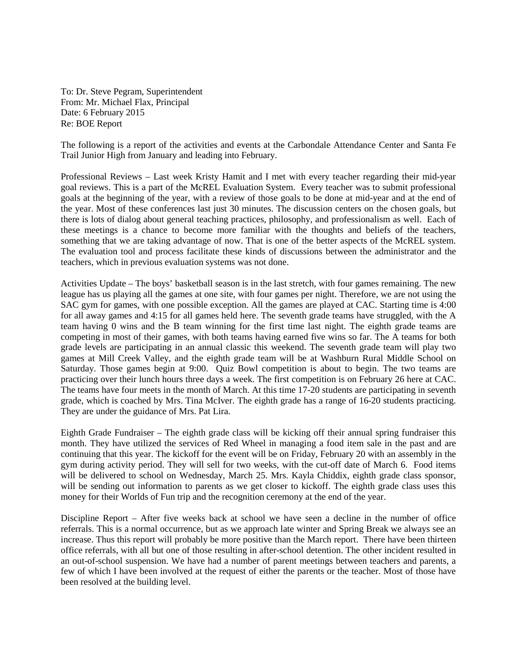To: Dr. Steve Pegram, Superintendent From: Mr. Michael Flax, Principal Date: 6 February 2015 Re: BOE Report

The following is a report of the activities and events at the Carbondale Attendance Center and Santa Fe Trail Junior High from January and leading into February.

Professional Reviews – Last week Kristy Hamit and I met with every teacher regarding their mid-year goal reviews. This is a part of the McREL Evaluation System. Every teacher was to submit professional goals at the beginning of the year, with a review of those goals to be done at mid-year and at the end of the year. Most of these conferences last just 30 minutes. The discussion centers on the chosen goals, but there is lots of dialog about general teaching practices, philosophy, and professionalism as well. Each of these meetings is a chance to become more familiar with the thoughts and beliefs of the teachers, something that we are taking advantage of now. That is one of the better aspects of the McREL system. The evaluation tool and process facilitate these kinds of discussions between the administrator and the teachers, which in previous evaluation systems was not done.

Activities Update – The boys' basketball season is in the last stretch, with four games remaining. The new league has us playing all the games at one site, with four games per night. Therefore, we are not using the SAC gym for games, with one possible exception. All the games are played at CAC. Starting time is 4:00 for all away games and 4:15 for all games held here. The seventh grade teams have struggled, with the A team having 0 wins and the B team winning for the first time last night. The eighth grade teams are competing in most of their games, with both teams having earned five wins so far. The A teams for both grade levels are participating in an annual classic this weekend. The seventh grade team will play two games at Mill Creek Valley, and the eighth grade team will be at Washburn Rural Middle School on Saturday. Those games begin at 9:00. Quiz Bowl competition is about to begin. The two teams are practicing over their lunch hours three days a week. The first competition is on February 26 here at CAC. The teams have four meets in the month of March. At this time 17-20 students are participating in seventh grade, which is coached by Mrs. Tina McIver. The eighth grade has a range of 16-20 students practicing. They are under the guidance of Mrs. Pat Lira.

Eighth Grade Fundraiser – The eighth grade class will be kicking off their annual spring fundraiser this month. They have utilized the services of Red Wheel in managing a food item sale in the past and are continuing that this year. The kickoff for the event will be on Friday, February 20 with an assembly in the gym during activity period. They will sell for two weeks, with the cut-off date of March 6. Food items will be delivered to school on Wednesday, March 25. Mrs. Kayla Chiddix, eighth grade class sponsor, will be sending out information to parents as we get closer to kickoff. The eighth grade class uses this money for their Worlds of Fun trip and the recognition ceremony at the end of the year.

Discipline Report – After five weeks back at school we have seen a decline in the number of office referrals. This is a normal occurrence, but as we approach late winter and Spring Break we always see an increase. Thus this report will probably be more positive than the March report. There have been thirteen office referrals, with all but one of those resulting in after-school detention. The other incident resulted in an out-of-school suspension. We have had a number of parent meetings between teachers and parents, a few of which I have been involved at the request of either the parents or the teacher. Most of those have been resolved at the building level.